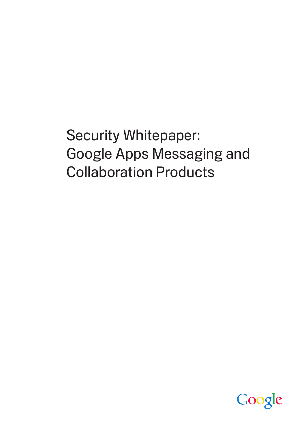Security Whitepaper: Google Apps Messaging and Collaboration Products

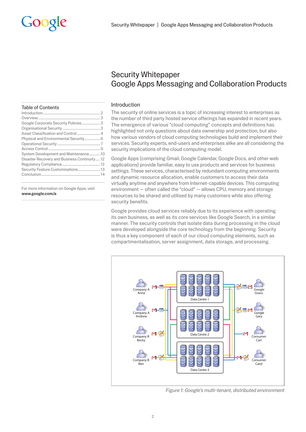# **Security Whitepaper Google Apps Messaging and Collaboration Products**

# Introduction

The security of online services is a topic of increasing interest to enterprises as the number of third party hosted service offerings has expanded in recent years. The emergence of various "cloud computing" concepts and definitions has highlighted not only questions about data ownership and protection, but also how various vendors of cloud computing technologies build and implement their services. Security experts, end-users and enterprises alike are all considering the security implications of the cloud computing model.

Google Apps (comprising Gmail, Google Calendar, Google Docs, and other web applications) provide familiar, easy to use products and services for business settings. These services, characterised by redundant computing environments and dynamic resource allocation, enable customers to access their data virtually anytime and anywhere from Internet-capable devices. This computing environment - often called the "cloud" - allows CPU, memory and storage resources to be shared and utilised by many customers while also offering security benefits.

Google provides cloud services reliably due to its experience with operating its own business, as well as its core services like Google Search, in a similar manner. The security controls that isolate data during processing in the cloud were developed alongside the core technology from the beginning. Security is thus a key component of each of our cloud computing elements, such as compartmentalisation, server assignment, data storage, and processing.



Figure 1: Google's multi-tenant, distributed environment

#### **Table of Contents**

| Google Corporate Security Policies 3         |  |
|----------------------------------------------|--|
|                                              |  |
|                                              |  |
|                                              |  |
|                                              |  |
|                                              |  |
| System Development and Maintenance10         |  |
| Disaster Recovery and Business Continuity 12 |  |
|                                              |  |
| Security Feature Customisations 13           |  |
|                                              |  |
|                                              |  |

For more information on Google Apps, visit www.google.com/a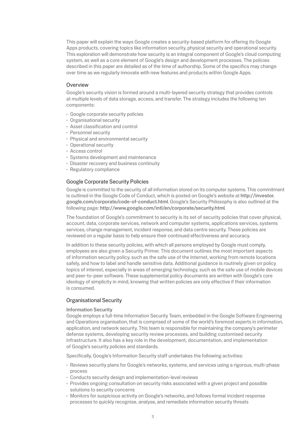This paper will explain the ways Google creates a security-based platform for offering its Google Apps products, covering topics like information security, physical security and operational security. This exploration will demonstrate how security is an integral component of Google's cloud computing system, as well as a core element of Google's design and development processes. The policies described in this paper are detailed as of the time of authorship. Some of the specifics may change over time as we regularly innovate with new features and products within Google Apps.

# Overview

Google's security vision is formed around a multi-layered security strategy that provides controls at multiple levels of data storage, access, and transfer. The strategy includes the following ten components:

- **t** Google corporate security policies
- **· Organisational security**
- **Asset classification and control**
- Personnel security
- Physical and environmental security
- **Operational security**
- Access control
- **:** Systems development and maintenance
- **Disaster recovery and business continuity**
- Regulatory compliance

## Google Corporate Security Policies

Google is committed to the security of all information stored on its computer systems. This commitment is outlined in the Google Code of Conduct, which is posted on Google's website at http://investor. google.com/corporate/code-of-conduct.html. Google's Security Philosophy is also outlined at the following page: http://www.google.com/intl/en/corporate/security.html.

The foundation of Google's commitment to security is its set of security policies that cover physical, account, data, corporate services, network and computer systems, applications services, systems services, change management, incident response, and data centre security. These policies are reviewed on a regular basis to help ensure their continued effectiveness and accuracy.

In addition to these security policies, with which all persons employed by Google must comply, employees are also given a Security Primer. This document outlines the most important aspects of information security policy, such as the safe use of the Internet, working from remote locations safely, and how to label and handle sensitive data. Additional guidance is routinely given on policy topics of interest, especially in areas of emerging technology, such as the safe use of mobile devices and peer-to-peer software. These supplemental policy documents are written with Google's core ideology of simplicity in mind, knowing that written policies are only effective if their information is consumed.

## Organisational Security

#### Information Security

Google employs a full-time Information Security Team, embedded in the Google Software Engineering and Operations organisation, that is comprised of some of the world's foremost experts in information, application, and network security. This team is responsible for maintaining the company's perimeter defense systems, developing security review processes, and building customised security infrastructure. It also has a key role in the development, documentation, and implementation of Google's security policies and standards.

Specifically, Google's Information Security staff undertakes the following activities:

- t Reviews security plans for Google's networks, systems, and services using a rigorous, multi-phase process
- **EX Conducts security design and implementation-level reviews**
- $\cdot$  Provides ongoing consultation on security risks associated with a given project and possible solutions to security concerns
- $\cdot$  Monitors for suspicious activity on Google's networks, and follows formal incident response processes to quickly recognise, analyse, and remediate information security threats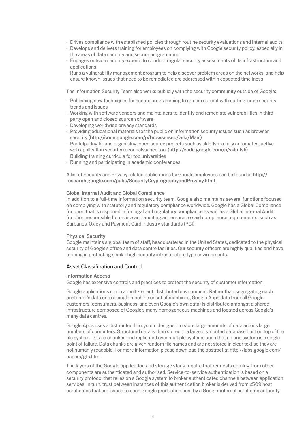- $\cdot$  Drives compliance with established policies through routine security evaluations and internal audits
- Develops and delivers training for employees on complying with Google security policy, especially in the areas of data security and secure programming
- $\cdot$  Engages outside security experts to conduct regular security assessments of its infrastructure and applications
- $\cdot$  Runs a vulnerability management program to help discover problem areas on the networks, and help ensure known issues that need to be remediated are addressed within expected timeliness

The Information Security Team also works publicly with the security community outside of Google:

- $\cdot$  Publishing new techniques for secure programming to remain current with cutting-edge security trends and issues
- $\cdot$  Working with software vendors and maintainers to identify and remediate vulnerabilities in thirdparty open and closed source software
- Developing worldwide privacy standards
- t Providing educational materials for the public on information security issues such as browser security (http://code.google.com/p/browsersec/wiki/Main)
- t Participating in, and organising, open source projects such as skipfish, a fully automated, active web application security reconnaissance tool (http://code.google.com/p/skipfish)
- **· Building training curricula for top universities**
- $\cdot$  Running and participating in academic conferences

A list of Security and Privacy related publications by Google employees can be found at http:// research.google.com/pubs/SecurityCryptographyandPrivacy.html.

## Global Internal Audit and Global Compliance

In addition to a full-time information security team, Google also maintains several functions focused on complying with statutory and regulatory compliance worldwide. Google has a Global Compliance function that is responsible for legal and regulatory compliance as well as a Global Internal Audit function responsible for review and auditing adherence to said compliance requirements, such as Sarbanes-Oxley and Payment Card Industry standards (PCI).

#### Physical Security

Google maintains a global team of staff, headquartered in the United States, dedicated to the physical security of Google's office and data centre facilities. Our security officers are highly qualified and have training in protecting similar high security infrastructure type environments.

## Asset Classification and Control

#### Information Access

Google has extensive controls and practices to protect the security of customer information.

Google applications run in a multi-tenant, distributed environment. Rather than segregating each customer's data onto a single machine or set of machines, Google Apps data from all Google customers (consumers, business, and even Google's own data) is distributed amongst a shared infrastructure composed of Google's many homogeneous machines and located across Google's many data centres.

Google Apps uses a distributed file system designed to store large amounts of data across large numbers of computers. Structured data is then stored in a large distributed database built on top of the file system. Data is chunked and replicated over multiple systems such that no one system is a single point of failure. Data chunks are given random file names and are not stored in clear text so they are not humanly readable. For more information please download the abstract at http://labs.google.com/ papers/gfs.html

The layers of the Google application and storage stack require that requests coming from other components are authenticated and authorised. Service-to-service authentication is based on a security protocol that relies on a Google system to broker authenticated channels between application services. In turn, trust between instances of this authentication broker is derived from x509 host certificates that are issued to each Google production host by a Google-internal certificate authority.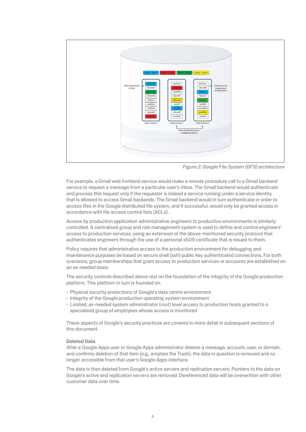

*Figure 2: Google File System (GFS) architecture*

For example, a Gmail web frontend service would make a remote procedure call to a Gmail backend service to request a message from a particular user's inbox. The Gmail backend would authenticate and process this request only if the requester is indeed a service running under a service identity that is allowed to access Gmail backends. The Gmail backend would in turn authenticate in order to access files in the Google distributed file system, and if successful, would only be granted access in accordance with file access control lists (ACLs).

Access by production application administrative engineers to production environments is similarly controlled. A centralised group and role management system is used to define and control engineers' access to production services, using an extension of the above-mentioned security protocol that authenticates engineers through the use of a personal x509 certificate that is issued to them.

Policy requires that administrative access to the production environment for debugging and maintenance purposes be based on secure shell (ssh) public key authenticated connections. For both scenarios, group memberships that grant access to production services or accounts are established on an as-needed basis.

The security controls described above rest on the foundation of the integrity of the Google production platform. This platform in turn is founded on:

- $\cdot$  Physical security protections of Google's data centre environment
- $\cdot$  Integrity of the Google production operating system environment
- t Limited, as-needed system administrator (root) level access to production hosts granted to a specialised group of employees whose access is monitored

These aspects of Google's security practices are covered in more detail in subsequent sections of this document.

## Deleted Data

After a Google Apps user or Google Apps administrator deletes a message, account, user, or domain, and confirms deletion of that item (e.g., empties the Trash), the data in question is removed and no longer accessible from that user's Google Apps interface.

The data is then deleted from Google's active servers and replication servers. Pointers to the data on Google's active and replication servers are removed. Dereferenced data will be overwritten with other customer data over time.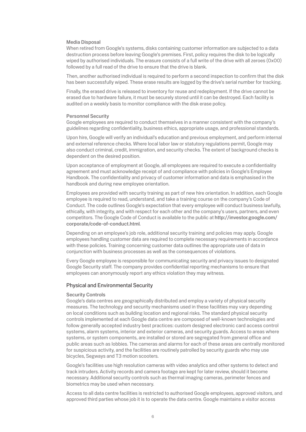## Media Disposal

When retired from Google's systems, disks containing customer information are subjected to a data destruction process before leaving Google's premises. First, policy requires the disk to be logically wiped by authorised individuals. The erasure consists of a full write of the drive with all zeroes (0x00) followed by a full read of the drive to ensure that the drive is blank.

Then, another authorised individual is required to perform a second inspection to confirm that the disk has been successfully wiped. These erase results are logged by the drive's serial number for tracking.

Finally, the erased drive is released to inventory for reuse and redeployment. If the drive cannot be erased due to hardware failure, it must be securely stored until it can be destroyed. Each facility is audited on a weekly basis to monitor compliance with the disk erase policy.

#### Personnel Security

Google employees are required to conduct themselves in a manner consistent with the company's guidelines regarding confidentiality, business ethics, appropriate usage, and professional standards.

Upon hire, Google will verify an individual's education and previous employment, and perform internal and external reference checks. Where local labor law or statutory regulations permit, Google may also conduct criminal, credit, immigration, and security checks. The extent of background checks is dependent on the desired position.

Upon acceptance of employment at Google, all employees are required to execute a confidentiality agreement and must acknowledge receipt of and compliance with policies in Google's Employee Handbook. The confidentiality and privacy of customer information and data is emphasised in the handbook and during new employee orientation.

Employees are provided with security training as part of new hire orientation. In addition, each Google employee is required to read, understand, and take a training course on the company's Code of Conduct. The code outlines Google's expectation that every employee will conduct business lawfully, ethically, with integrity, and with respect for each other and the company's users, partners, and even competitors. The Google Code of Conduct is available to the public at http://investor.google.com/ corporate/code-of-conduct.html.

Depending on an employee's job role, additional security training and policies may apply. Google employees handling customer data are required to complete necessary requirements in accordance with these policies. Training concerning customer data outlines the appropriate use of data in conjunction with business processes as well as the consequences of violations.

Every Google employee is responsible for communicating security and privacy issues to designated Google Security staff. The company provides confidential reporting mechanisms to ensure that employees can anonymously report any ethics violation they may witness.

#### Physical and Environmental Security

## Security Controls

Google's data centres are geographically distributed and employ a variety of physical security measures. The technology and security mechanisms used in these facilities may vary depending on local conditions such as building location and regional risks. The standard physical security controls implemented at each Google data centre are composed of well-known technologies and follow generally accepted industry best practices: custom designed electronic card access control systems, alarm systems, interior and exterior cameras, and security guards. Access to areas where systems, or system components, are installed or stored are segregated from general office and public areas such as lobbies. The cameras and alarms for each of these areas are centrally monitored for suspicious activity, and the facilities are routinely patrolled by security guards who may use bicycles, Segways and T3 motion scooters.

Google's facilities use high resolution cameras with video analytics and other systems to detect and track intruders. Activity records and camera footage are kept for later review, should it become necessary. Additional security controls such as thermal imaging cameras, perimeter fences and biometrics may be used when necessary.

Access to all data centre facilities is restricted to authorised Google employees, approved visitors, and approved third parties whose job it is to operate the data centre. Google maintains a visitor access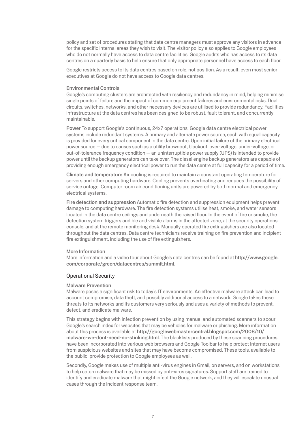policy and set of procedures stating that data centre managers must approve any visitors in advance for the specific internal areas they wish to visit. The visitor policy also applies to Google employees who do not normally have access to data centre facilities. Google audits who has access to its data centres on a quarterly basis to help ensure that only appropriate personnel have access to each floor.

Google restricts access to its data centres based on role, not position. As a result, even most senior executives at Google do not have access to Google data centres.

## Environmental Controls

Google's computing clusters are architected with resiliency and redundancy in mind, helping minimise single points of failure and the impact of common equipment failures and environmental risks. Dual circuits, switches, networks, and other necessary devices are utilised to provide redundancy. Facilities infrastructure at the data centres has been designed to be robust, fault tolerant, and concurrently maintainable.

Power To support Google's continuous, 24x7 operations, Google data centre electrical power systems include redundant systems. A primary and alternate power source, each with equal capacity, is provided for every critical component in the data centre. Upon initial failure of the primary electrical power source — due to causes such as a utility brownout, blackout, over-voltage, under-voltage, or out-of-tolerance frequency condition — an uninterruptible power supply (UPS) is intended to provide power until the backup generators can take over. The diesel engine backup generators are capable of providing enough emergency electrical power to run the data centre at full capacity for a period of time.

Climate and temperature Air cooling is required to maintain a constant operating temperature for servers and other computing hardware. Cooling prevents overheating and reduces the possibility of service outage. Computer room air conditioning units are powered by both normal and emergency electrical systems.

Fire detection and suppression Automatic fire detection and suppression equipment helps prevent damage to computing hardware. The fire detection systems utilise heat, smoke, and water sensors located in the data centre ceilings and underneath the raised floor. In the event of fire or smoke, the detection system triggers audible and visible alarms in the affected zone, at the security operations console, and at the remote monitoring desk. Manually operated fire extinguishers are also located throughout the data centres. Data centre technicians receive training on fire prevention and incipient fire extinguishment, including the use of fire extinguishers.

## More Information

More information and a video tour about Google's data centres can be found at http://www.google. com/corporate/green/datacentres/summit.html.

## Operational Security

## Malware Prevention

Malware poses a significant risk to today's IT environments. An effective malware attack can lead to account compromise, data theft, and possibly additional access to a network. Google takes these threats to its networks and its customers very seriously and uses a variety of methods to prevent, detect, and eradicate malware.

This strategy begins with infection prevention by using manual and automated scanners to scour Google's search index for websites that may be vehicles for malware or phishing. More information about this process is available at http://googlewebmastercentral.blogspot.com/2008/10/ malware-we-dont-need-no-stinking.html. The blacklists produced by these scanning procedures have been incorporated into various web browsers and Google Toolbar to help protect Internet users from suspicious websites and sites that may have become compromised. These tools, available to the public, provide protection to Google employees as well.

Secondly, Google makes use of multiple anti-virus engines in Gmail, on servers, and on workstations to help catch malware that may be missed by anti-virus signatures. Support staff are trained to identify and eradicate malware that might infect the Google network, and they will escalate unusual cases through the incident response team.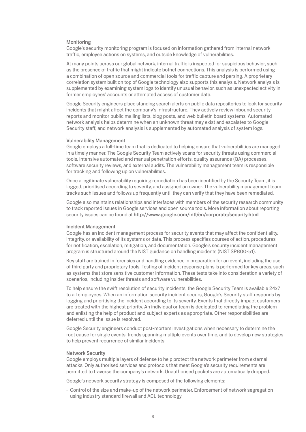## Monitoring

Google's security monitoring program is focused on information gathered from internal network traffic, employee actions on systems, and outside knowledge of vulnerabilities.

At many points across our global network, internal traffic is inspected for suspicious behavior, such as the presence of traffic that might indicate botnet connections. This analysis is performed using a combination of open source and commercial tools for traffic capture and parsing. A proprietary correlation system built on top of Google technology also supports this analysis. Network analysis is supplemented by examining system logs to identify unusual behavior, such as unexpected activity in former employees' accounts or attempted access of customer data.

Google Security engineers place standing search alerts on public data repositories to look for security incidents that might affect the company's infrastructure. They actively review inbound security reports and monitor public mailing lists, blog posts, and web bulletin board systems. Automated network analysis helps determine when an unknown threat may exist and escalates to Google Security staff, and network analysis is supplemented by automated analysis of system logs.

#### Vulnerability Management

Google employs a full-time team that is dedicated to helping ensure that vulnerabilities are managed in a timely manner. The Google Security Team actively scans for security threats using commercial tools, intensive automated and manual penetration efforts, quality assurance (QA) processes, software security reviews, and external audits. The vulnerability management team is responsible for tracking and following up on vulnerabilities.

Once a legitimate vulnerability requiring remediation has been identified by the Security Team, it is logged, prioritised according to severity, and assigned an owner. The vulnerability management team tracks such issues and follows up frequently until they can verify that they have been remediated.

Google also maintains relationships and interfaces with members of the security research community to track reported issues in Google services and open source tools. More information about reporting security issues can be found at http://www.google.com/intl/en/corporate/security.html

#### Incident Management

Google has an incident management process for security events that may affect the confidentiality, integrity, or availability of its systems or data. This process specifies courses of action, procedures for notification, escalation, mitigation, and documentation. Google's security incident management program is structured around the NIST guidance on handling incidents (NIST SP800-51).

Key staff are trained in forensics and handling evidence in preparation for an event, including the use of third party and proprietary tools. Testing of incident response plans is performed for key areas, such as systems that store sensitive customer information. These tests take into consideration a variety of scenarios, including insider threats and software vulnerabilities.

To help ensure the swift resolution of security incidents, the Google Security Team is available 24x7 to all employees. When an information security incident occurs, Google's Security staff responds by logging and prioritising the incident according to its severity. Events that directly impact customers are treated with the highest priority. An individual or team is dedicated to remediating the problem and enlisting the help of product and subject experts as appropriate. Other responsibilities are deferred until the issue is resolved.

Google Security engineers conduct post-mortem investigations when necessary to determine the root cause for single events, trends spanning multiple events over time, and to develop new strategies to help prevent recurrence of similar incidents.

## Network Security

Google employs multiple layers of defense to help protect the network perimeter from external attacks. Only authorised services and protocols that meet Google's security requirements are permitted to traverse the company's network. Unauthorised packets are automatically dropped.

Google's network security strategy is composed of the following elements:

 $\cdot$  Control of the size and make-up of the network perimeter. Enforcement of network segregation using industry standard firewall and ACL technology.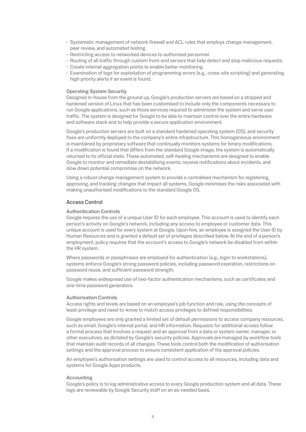- $\cdot$  Systematic management of network firewall and ACL rules that employs change management, peer review, and automated testing.
- $\cdot$  Restricting access to networked devices to authorised personnel.
- $\cdot$  Routing of all traffic through custom front-end servers that help detect and stop malicious requests.
- $\cdot$  Create internal aggregation points to enable better monitoring.
- $\cdot$  Examination of logs for exploitation of programming errors (e.g., cross-site scripting) and generating high priority alerts if an event is found.

## Operating System Security

Designed in-house from the ground up, Google's production servers are based on a stripped and hardened version of Linux that has been customised to include only the components necessary to run Google applications, such as those services required to administer the system and serve user traffic. The system is designed for Google to be able to maintain control over the entire hardware and software stack and to help provide a secure application environment.

Google's production servers are built on a standard hardened operating system (OS), and security fixes are uniformly deployed to the company's entire infrastructure. This homogeneous environment is maintained by proprietary software that continually monitors systems for binary modifications. If a modification is found that differs from the standard Google image, the system is automatically returned to its official state. These automated, self-healing mechanisms are designed to enable Google to monitor and remediate destabilising events, receive notifications about incidents, and slow down potential compromise on the network.

Using a robust change management system to provide a centralised mechanism for registering, approving, and tracking changes that impact all systems, Google minimises the risks associated with making unauthorised modifications to the standard Google OS.

## Access Control

#### Authentication Controls

Google requires the use of a unique User ID for each employee. This account is used to identify each person's activity on Google's network, including any access to employee or customer data. This unique account is used for every system at Google. Upon hire, an employee is assigned the User ID by Human Resources and is granted a default set of privileges described below. At the end of a person's employment, policy requires that the account's access to Google's network be disabled from within the HR system.

Where passwords or passphrases are employed for authentication (e.g., login to workstations), systems enforce Google's strong password policies, including password expiration, restrictions on password reuse, and sufficient password strength.

Google makes widespread use of two-factor authentication mechanisms, such as certificates and one-time password generators.

#### Authorisation Controls

Access rights and levels are based on an employee's job function and role, using the concepts of least-privilege and need-to-know to match access privileges to defined responsibilities.

Google employees are only granted a limited set of default permissions to access company resources, such as email, Google's internal portal, and HR information. Requests for additional access follow a formal process that involves a request and an approval from a data or system owner, manager, or other executives, as dictated by Google's security policies. Approvals are managed by workflow tools that maintain audit records of all changes. These tools control both the modification of authorisation settings and the approval process to ensure consistent application of the approval policies.

An employee's authorisation settings are used to control access to all resources, including data and systems for Google Apps products.

#### Accounting

Google's policy is to log administrative access to every Google production system and all data. These logs are reviewable by Google Security staff on an as-needed basis.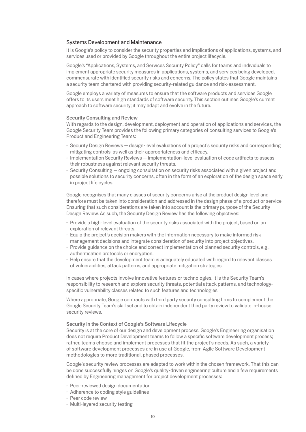# Systems Development and Maintenance

It is Google's policy to consider the security properties and implications of applications, systems, and services used or provided by Google throughout the entire project lifecycle.

Google's "Applications, Systems, and Services Security Policy" calls for teams and individuals to implement appropriate security measures in applications, systems, and services being developed, commensurate with identified security risks and concerns. The policy states that Google maintains a security team chartered with providing security-related guidance and risk-assessment.

Google employs a variety of measures to ensure that the software products and services Google offers to its users meet high standards of software security. This section outlines Google's current approach to software security; it may adapt and evolve in the future.

#### Security Consulting and Review

With regards to the design, development, deployment and operation of applications and services, the Google Security Team provides the following primary categories of consulting services to Google's Product and Engineering Teams:

- t Security Design Reviews design-level evaluations of a project's security risks and corresponding mitigating controls, as well as their appropriateness and efficacy.
- $\cdot$  Implementation Security Reviews implementation-level evaluation of code artifacts to assess their robustness against relevant security threats.
- t Security Consulting ongoing consultation on security risks associated with a given project and possible solutions to security concerns, often in the form of an exploration of the design space early in project life cycles.

Google recognises that many classes of security concerns arise at the product design level and therefore must be taken into consideration and addressed in the design phase of a product or service. Ensuring that such considerations are taken into account is the primary purpose of the Security Design Review. As such, the Security Design Review has the following objectives:

- Provide a high-level evaluation of the security risks associated with the project, based on an exploration of relevant threats.
- t Equip the project's decision makers with the information necessary to make informed risk management decisions and integrate consideration of security into project objectives.
- $\cdot$  Provide guidance on the choice and correct implementation of planned security controls, e.g., authentication protocols or encryption.
- t Help ensure that the development team is adequately educated with regard to relevant classes of vulnerabilities, attack patterns, and appropriate mitigation strategies.

In cases where projects involve innovative features or technologies, it is the Security Team's responsibility to research and explore security threats, potential attack patterns, and technologyspecific vulnerability classes related to such features and technologies.

Where appropriate, Google contracts with third party security consulting firms to complement the Google Security Team's skill set and to obtain independent third party review to validate in-house security reviews.

#### Security in the Context of Google's Software Lifecycle

Security is at the core of our design and development process. Google's Engineering organisation does not require Product Development teams to follow a specific software development process; rather, teams choose and implement processes that fit the project's needs. As such, a variety of software development processes are in use at Google, from Agile Software Development methodologies to more traditional, phased processes.

Google's security review processes are adapted to work within the chosen framework. That this can be done successfully hinges on Google's quality-driven engineering culture and a few requirements defined by Engineering management for project development processes:

- Peer-reviewed design documentation
- **Adherence to coding style guidelines**
- Peer code review
- Multi-layered security testing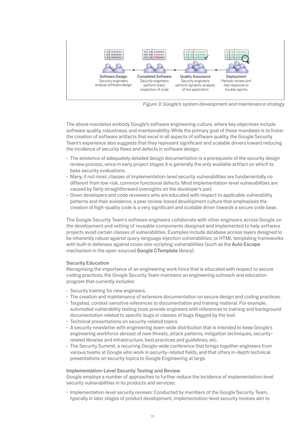

Figure 3: Google's system development and maintenance strategy

The above mandates embody Google's software engineering culture, where key objectives include software quality, robustness, and maintainability. While the primary goal of these mandates is to foster the creation of software artifacts that excel in all aspects of software quality, the Google Security Team's experience also suggests that they represent significant and scalable drivers toward reducing the incidence of security flaws and defects in software design:

- The existence of adequately detailed design documentation is a prerequisite of the security design review process, since in early project stages it is generally the only available artifact on which to base security evaluations.
- · Many, if not most, classes of implementation-level security vulnerabilities are fundamentally no different from low-risk, common functional defects. Most implementation-level vulnerabilities are caused by fairly straightforward oversights on the developer's part.
- · Given developers and code reviewers who are educated with respect to applicable vulnerability patterns and their avoidance, a peer review-based development culture that emphasises the creation of high-quality code is a very significant and scalable driver towards a secure code base.

The Google Security Team's software engineers collaborate with other engineers across Google on the development and vetting of reusable components designed and implemented to help software projects avoid certain classes of vulnerabilities. Examples include database access layers designed to be inherently robust against query-language injection vulnerabilities, or HTML templating frameworks with built-in defenses against cross-site-scripting vulnerabilities (such as the Auto Escape mechanism in the open-sourced Google CTemplate library).

# **Security Education**

Recognising the importance of an engineering work force that is educated with respect to secure coding practices, the Google Security Team maintains an engineering outreach and education program that currently includes:

- · Security training for new engineers.
- The creation and maintenance of extensive documentation on secure design and coding practices.
- · Targeted, context-sensitive references to documentation and training material. For example, automated vulnerability testing tools provide engineers with references to training and background documentation related to specific bugs or classes of bugs flagged by the tool.
- · Technical presentations on security-related topics.
- A security newsletter with engineering team-wide distribution that is intended to keep Google's engineering workforce abreast of new threats, attack patterns, mitigation techniques, securityrelated libraries and infrastructure, best practices and guidelines, etc.
- The Security Summit, a recurring Google-wide conference that brings together engineers from various teams at Google who work in security-related fields, and that offers in-depth technical presentations on security topics to Google Engineering at large.

## **Implementation-Level Security Testing and Review**

Google employs a number of approaches to further reduce the incidence of implementation-level security vulnerabilities in its products and services:

· Implementation-level security reviews: Conducted by members of the Google Security Team, typically in later stages of product development, implementation-level security reviews aim to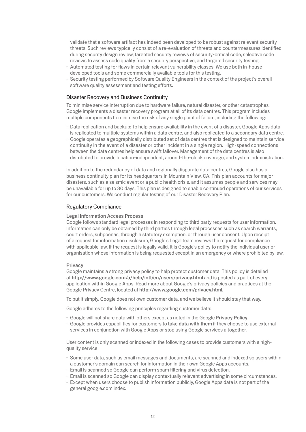validate that a software artifact has indeed been developed to be robust against relevant security threats. Such reviews typically consist of a re-evaluation of threats and countermeasures identified during security design review, targeted security reviews of security-critical code, selective code reviews to assess code quality from a security perspective, and targeted security testing.

- $\cdot$  Automated testing for flaws in certain relevant vulnerability classes. We use both in-house developed tools and some commercially available tools for this testing.
- $\cdot$  Security testing performed by Software Quality Engineers in the context of the project's overall software quality assessment and testing efforts.

## Disaster Recovery and Business Continuity

To minimise service interruption due to hardware failure, natural disaster, or other catastrophes, Google implements a disaster recovery program at all of its data centres. This program includes multiple components to minimise the risk of any single point of failure, including the following:

- Data replication and backup: To help ensure availability in the event of a disaster, Google Apps data is replicated to multiple systems within a data centre, and also replicated to a secondary data centre.
- $\cdot$  Google operates a geographically distributed set of data centres that is designed to maintain service continuity in the event of a disaster or other incident in a single region. High-speed connections between the data centres help ensure swift failover. Management of the data centres is also distributed to provide location-independent, around-the-clock coverage, and system administration.

In addition to the redundancy of data and regionally disparate data centres, Google also has a business continuity plan for its headquarters in Mountain View, CA. This plan accounts for major disasters, such as a seismic event or a public health crisis, and it assumes people and services may be unavailable for up to 30 days. This plan is designed to enable continued operations of our services for our customers. We conduct regular testing of our Disaster Recovery Plan.

## Regulatory Compliance

#### Legal Information Access Process

Google follows standard legal processes in responding to third party requests for user information. Information can only be obtained by third parties through legal processes such as search warrants, court orders, subpoenas, through a statutory exemption, or through user consent. Upon receipt of a request for information disclosure, Google's Legal team reviews the request for compliance with applicable law. If the request is legally valid, it is Google's policy to notify the individual user or organisation whose information is being requested except in an emergency or where prohibited by law.

#### Privacy

Google maintains a strong privacy policy to help protect customer data. This policy is detailed at http://www.google.com/a/help/intl/en/users/privacy.html and is posted as part of every application within Google Apps. Read more about Google's privacy policies and practices at the Google Privacy Centre, located at http://www.google.com/privacy.html.

To put it simply, Google does not own customer data, and we believe it should stay that way.

Google adheres to the following principles regarding customer data:

- t Google will not share data with others except as noted in the Google Privacy Policy.
- . Google provides capabilities for customers to take data with them if they choose to use external services in conjunction with Google Apps or stop using Google services altogether.

User content is only scanned or indexed in the following cases to provide customers with a highquality service:

- t Some user data, such as email messages and documents, are scanned and indexed so users within a customer's domain can search for information in their own Google Apps accounts.
- $\cdot$  Email is scanned so Google can perform spam filtering and virus detection.
- t Email is scanned so Google can display contextually relevant advertising in some circumstances.
- t Except when users choose to publish information publicly, Google Apps data is not part of the general google.com index.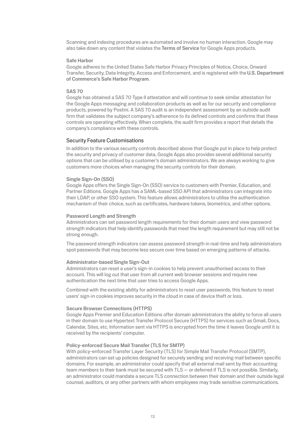Scanning and indexing procedures are automated and involve no human interaction. Google may also take down any content that violates the Terms of Service for Google Apps products.

#### Safe Harbor

Google adheres to the United States Safe Harbor Privacy Principles of Notice, Choice, Onward Transfer, Security, Data Integrity, Access and Enforcement, and is registered with the U.S. Department of Commerce's Safe Harbor Program.

## SAS 70

Google has obtained a SAS 70 Type II attestation and will continue to seek similar attestation for the Google Apps messaging and collaboration products as well as for our security and compliance products, powered by Postini. A SAS 70 audit is an independent assessment by an outside audit firm that validates the subject company's adherence to its defined controls and confirms that these controls are operating effectively. When complete, the audit firm provides a report that details the company's compliance with these controls.

#### Security Feature Customisations

In addition to the various security controls described above that Google put in place to help protect the security and privacy of customer data, Google Apps also provides several additional security options that can be utilised by a customer's domain administrators. We are always working to give customers more choices when managing the security controls for their domain.

#### Single Sign-On (SSO)

Google Apps offers the Single Sign-On (SSO) service to customers with Premier, Education, and Partner Editions. Google Apps has a SAML-based SSO API that administrators can integrate into their LDAP, or other SSO system. This feature allows administrators to utilise the authentication mechanism of their choice, such as certificates, hardware tokens, biometrics, and other options.

## Password Length and Strength

Administrators can set password length requirements for their domain users and view password strength indicators that help identify passwords that meet the length requirement but may still not be strong enough.

The password strength indicators can assess password strength in real-time and help administrators spot passwords that may become less secure over time based on emerging patterns of attacks.

## Administrator-based Single Sign-Out

Administrators can reset a user's sign-in cookies to help prevent unauthorised access to their account. This will log out that user from all current web browser sessions and require new authentication the next time that user tries to access Google Apps.

Combined with the existing ability for administrators to reset user passwords, this feature to reset users' sign-in cookies improves security in the cloud in case of device theft or loss.

#### Secure Browser Connections (HTTPS)

Google Apps Premier and Education Editions offer domain administrators the ability to force all users in their domain to use Hypertext Transfer Protocol Secure (HTTPS) for services such as Gmail, Docs, Calendar, Sites, etc. Information sent via HTTPS is encrypted from the time it leaves Google until it is received by the recipients' computer.

## Policy-enforced Secure Mail Transfer (TLS for SMTP)

With policy-enforced Transfer Layer Security (TLS) for Simple Mail Transfer Protocol (SMTP), administrators can set up policies designed for securely sending and receiving mail between specific domains. For example, an administrator could specify that all external mail sent by their accounting team members to their bank must be secured with TLS — or deferred if TLS is not possible. Similarly, an administrator could mandate a secure TLS connection between their domain and their outside legal counsel, auditors, or any other partners with whom employees may trade sensitive communications.